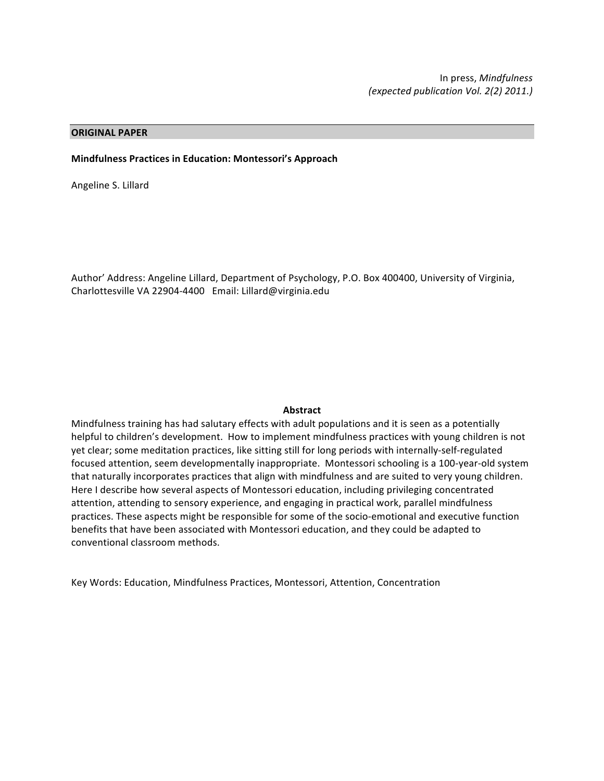## **ORIGINAL PAPER**

## **Mindfulness Practices in Education: Montessori's Approach**

Angeline S. Lillard

Author' Address: Angeline Lillard, Department of Psychology, P.O. Box 400400, University of Virginia, Charlottesville VA 22904-4400 Email: Lillard@virginia.edu

# **Abstract**

Mindfulness training has had salutary effects with adult populations and it is seen as a potentially helpful to children's development. How to implement mindfulness practices with young children is not yet clear; some meditation practices, like sitting still for long periods with internally-self-regulated focused attention, seem developmentally inappropriate. Montessori schooling is a 100-year-old system that naturally incorporates practices that align with mindfulness and are suited to very young children. Here I describe how several aspects of Montessori education, including privileging concentrated attention, attending to sensory experience, and engaging in practical work, parallel mindfulness practices. These aspects might be responsible for some of the socio-emotional and executive function benefits that have been associated with Montessori education, and they could be adapted to conventional classroom methods.

Key Words: Education, Mindfulness Practices, Montessori, Attention, Concentration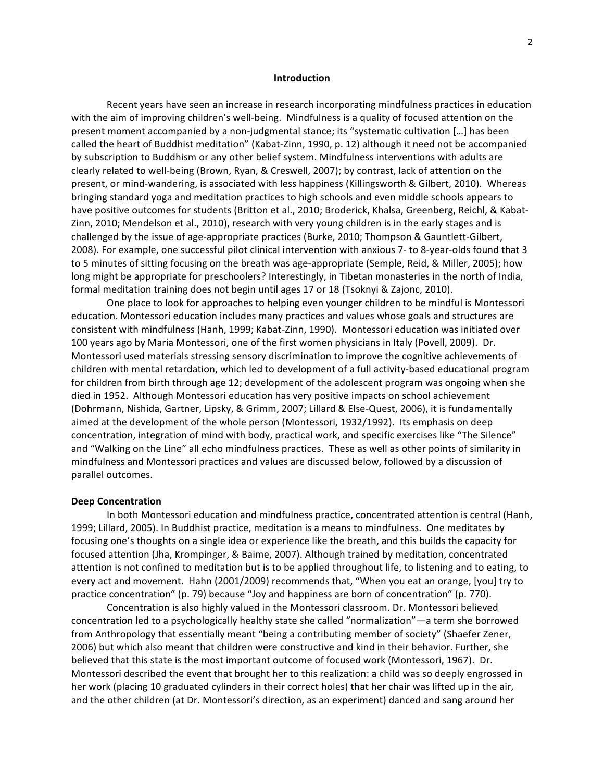### **Introduction**

Recent years have seen an increase in research incorporating mindfulness practices in education with the aim of improving children's well-being. Mindfulness is a quality of focused attention on the present moment accompanied by a non-judgmental stance; its "systematic cultivation [...] has been called the heart of Buddhist meditation" (Kabat-Zinn, 1990, p. 12) although it need not be accompanied by subscription to Buddhism or any other belief system. Mindfulness interventions with adults are clearly related to well-being (Brown, Ryan, & Creswell, 2007); by contrast, lack of attention on the present, or mind-wandering, is associated with less happiness (Killingsworth & Gilbert, 2010). Whereas bringing standard yoga and meditation practices to high schools and even middle schools appears to have positive outcomes for students (Britton et al., 2010; Broderick, Khalsa, Greenberg, Reichl, & Kabat-Zinn, 2010; Mendelson et al., 2010), research with very young children is in the early stages and is challenged by the issue of age-appropriate practices (Burke, 2010; Thompson & Gauntlett-Gilbert, 2008). For example, one successful pilot clinical intervention with anxious 7- to 8-year-olds found that 3 to 5 minutes of sitting focusing on the breath was age-appropriate (Semple, Reid, & Miller, 2005); how long might be appropriate for preschoolers? Interestingly, in Tibetan monasteries in the north of India, formal meditation training does not begin until ages 17 or 18 (Tsoknyi & Zajonc, 2010).

One place to look for approaches to helping even younger children to be mindful is Montessori education. Montessori education includes many practices and values whose goals and structures are consistent with mindfulness (Hanh, 1999; Kabat-Zinn, 1990). Montessori education was initiated over 100 years ago by Maria Montessori, one of the first women physicians in Italy (Povell, 2009). Dr. Montessori used materials stressing sensory discrimination to improve the cognitive achievements of children with mental retardation, which led to development of a full activity-based educational program for children from birth through age 12; development of the adolescent program was ongoing when she died in 1952. Although Montessori education has very positive impacts on school achievement (Dohrmann, Nishida, Gartner, Lipsky, & Grimm, 2007; Lillard & Else-Quest, 2006), it is fundamentally aimed at the development of the whole person (Montessori, 1932/1992). Its emphasis on deep concentration, integration of mind with body, practical work, and specific exercises like "The Silence" and "Walking on the Line" all echo mindfulness practices. These as well as other points of similarity in mindfulness and Montessori practices and values are discussed below, followed by a discussion of parallel outcomes.

#### **Deep Concentration**

In both Montessori education and mindfulness practice, concentrated attention is central (Hanh, 1999; Lillard, 2005). In Buddhist practice, meditation is a means to mindfulness. One meditates by focusing one's thoughts on a single idea or experience like the breath, and this builds the capacity for focused attention (Jha, Krompinger, & Baime, 2007). Although trained by meditation, concentrated attention is not confined to meditation but is to be applied throughout life, to listening and to eating, to every act and movement. Hahn (2001/2009) recommends that, "When you eat an orange, [you] try to practice concentration" (p. 79) because "Joy and happiness are born of concentration" (p. 770).

Concentration is also highly valued in the Montessori classroom. Dr. Montessori believed concentration led to a psychologically healthy state she called "normalization"—a term she borrowed from Anthropology that essentially meant "being a contributing member of society" (Shaefer Zener, 2006) but which also meant that children were constructive and kind in their behavior. Further, she believed that this state is the most important outcome of focused work (Montessori, 1967). Dr. Montessori described the event that brought her to this realization: a child was so deeply engrossed in her work (placing 10 graduated cylinders in their correct holes) that her chair was lifted up in the air, and the other children (at Dr. Montessori's direction, as an experiment) danced and sang around her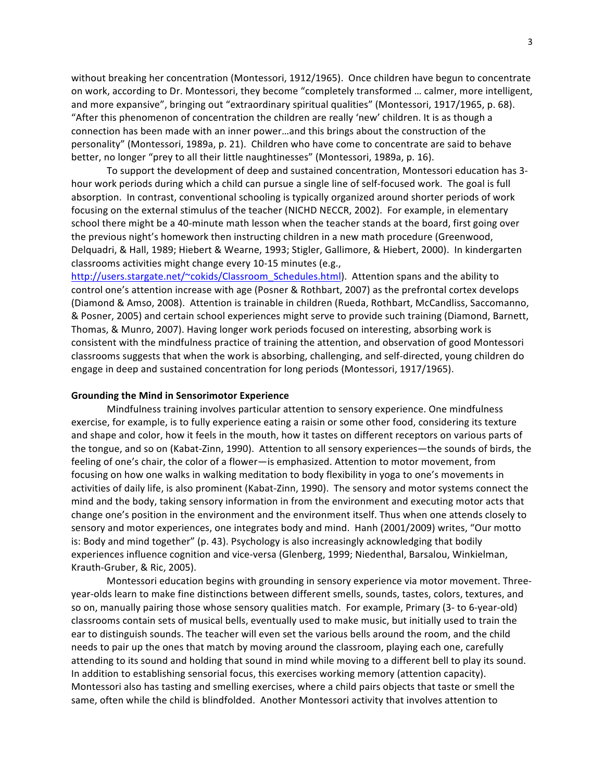without breaking her concentration (Montessori, 1912/1965). Once children have begun to concentrate on work, according to Dr. Montessori, they become "completely transformed ... calmer, more intelligent, and more expansive", bringing out "extraordinary spiritual qualities" (Montessori, 1917/1965, p. 68). "After this phenomenon of concentration the children are really 'new' children. It is as though a connection has been made with an inner power...and this brings about the construction of the personality" (Montessori, 1989a, p. 21). Children who have come to concentrate are said to behave better, no longer "prey to all their little naughtinesses" (Montessori, 1989a, p. 16).

To support the development of deep and sustained concentration, Montessori education has 3hour work periods during which a child can pursue a single line of self-focused work. The goal is full absorption. In contrast, conventional schooling is typically organized around shorter periods of work focusing on the external stimulus of the teacher (NICHD NECCR, 2002). For example, in elementary school there might be a 40-minute math lesson when the teacher stands at the board, first going over the previous night's homework then instructing children in a new math procedure (Greenwood, Delquadri, & Hall, 1989; Hiebert & Wearne, 1993; Stigler, Gallimore, & Hiebert, 2000). In kindergarten classrooms activities might change every 10-15 minutes (e.g.,

http://users.stargate.net/~cokids/Classroom\_Schedules.html). Attention spans and the ability to control one's attention increase with age (Posner & Rothbart, 2007) as the prefrontal cortex develops (Diamond & Amso, 2008). Attention is trainable in children (Rueda, Rothbart, McCandliss, Saccomanno, & Posner, 2005) and certain school experiences might serve to provide such training (Diamond, Barnett, Thomas, & Munro, 2007). Having longer work periods focused on interesting, absorbing work is consistent with the mindfulness practice of training the attention, and observation of good Montessori classrooms suggests that when the work is absorbing, challenging, and self-directed, young children do engage in deep and sustained concentration for long periods (Montessori, 1917/1965).

# **Grounding the Mind in Sensorimotor Experience**

Mindfulness training involves particular attention to sensory experience. One mindfulness exercise, for example, is to fully experience eating a raisin or some other food, considering its texture and shape and color, how it feels in the mouth, how it tastes on different receptors on various parts of the tongue, and so on (Kabat-Zinn, 1990). Attention to all sensory experiences—the sounds of birds, the feeling of one's chair, the color of a flower—is emphasized. Attention to motor movement, from focusing on how one walks in walking meditation to body flexibility in yoga to one's movements in activities of daily life, is also prominent (Kabat-Zinn, 1990). The sensory and motor systems connect the mind and the body, taking sensory information in from the environment and executing motor acts that change one's position in the environment and the environment itself. Thus when one attends closely to sensory and motor experiences, one integrates body and mind. Hanh (2001/2009) writes, "Our motto is: Body and mind together" (p. 43). Psychology is also increasingly acknowledging that bodily experiences influence cognition and vice-versa (Glenberg, 1999; Niedenthal, Barsalou, Winkielman, Krauth-Gruber, & Ric, 2005).

Montessori education begins with grounding in sensory experience via motor movement. Threeyear-olds learn to make fine distinctions between different smells, sounds, tastes, colors, textures, and so on, manually pairing those whose sensory qualities match. For example, Primary (3- to 6-year-old) classrooms contain sets of musical bells, eventually used to make music, but initially used to train the ear to distinguish sounds. The teacher will even set the various bells around the room, and the child needs to pair up the ones that match by moving around the classroom, playing each one, carefully attending to its sound and holding that sound in mind while moving to a different bell to play its sound. In addition to establishing sensorial focus, this exercises working memory (attention capacity). Montessori also has tasting and smelling exercises, where a child pairs objects that taste or smell the same, often while the child is blindfolded. Another Montessori activity that involves attention to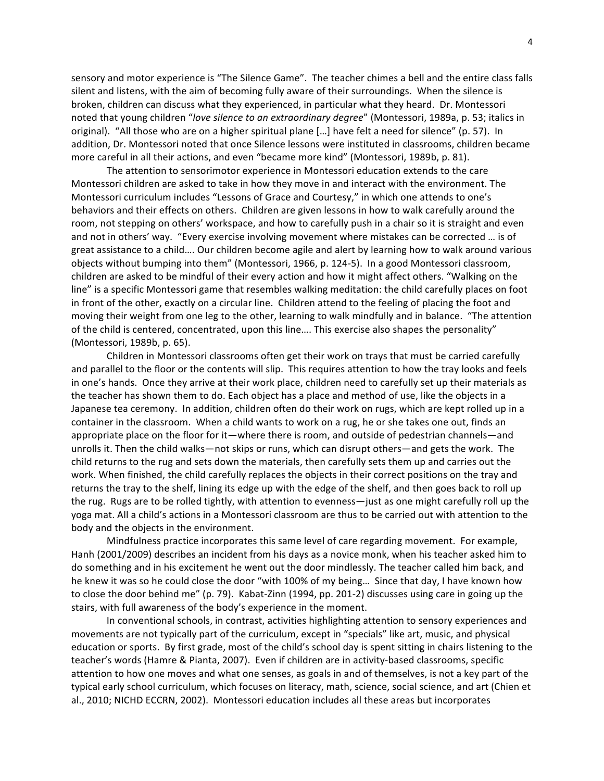sensory and motor experience is "The Silence Game". The teacher chimes a bell and the entire class falls silent and listens, with the aim of becoming fully aware of their surroundings. When the silence is broken, children can discuss what they experienced, in particular what they heard. Dr. Montessori noted that young children "*love silence to an extraordinary degree*" (Montessori, 1989a, p. 53; italics in original). "All those who are on a higher spiritual plane [...] have felt a need for silence" (p. 57). In addition, Dr. Montessori noted that once Silence lessons were instituted in classrooms, children became more careful in all their actions, and even "became more kind" (Montessori, 1989b, p. 81).

The attention to sensorimotor experience in Montessori education extends to the care Montessori children are asked to take in how they move in and interact with the environment. The Montessori curriculum includes "Lessons of Grace and Courtesy," in which one attends to one's behaviors and their effects on others. Children are given lessons in how to walk carefully around the room, not stepping on others' workspace, and how to carefully push in a chair so it is straight and even and not in others' way. "Every exercise involving movement where mistakes can be corrected ... is of great assistance to a child.... Our children become agile and alert by learning how to walk around various objects without bumping into them" (Montessori, 1966, p. 124-5). In a good Montessori classroom, children are asked to be mindful of their every action and how it might affect others. "Walking on the line" is a specific Montessori game that resembles walking meditation: the child carefully places on foot in front of the other, exactly on a circular line. Children attend to the feeling of placing the foot and moving their weight from one leg to the other, learning to walk mindfully and in balance. "The attention of the child is centered, concentrated, upon this line…. This exercise also shapes the personality" (Montessori, 1989b, p. 65).

Children in Montessori classrooms often get their work on trays that must be carried carefully and parallel to the floor or the contents will slip. This requires attention to how the tray looks and feels in one's hands. Once they arrive at their work place, children need to carefully set up their materials as the teacher has shown them to do. Each object has a place and method of use, like the objects in a Japanese tea ceremony. In addition, children often do their work on rugs, which are kept rolled up in a container in the classroom. When a child wants to work on a rug, he or she takes one out, finds an appropriate place on the floor for it—where there is room, and outside of pedestrian channels—and unrolls it. Then the child walks—not skips or runs, which can disrupt others—and gets the work. The child returns to the rug and sets down the materials, then carefully sets them up and carries out the work. When finished, the child carefully replaces the objects in their correct positions on the tray and returns the tray to the shelf, lining its edge up with the edge of the shelf, and then goes back to roll up the rug. Rugs are to be rolled tightly, with attention to evenness—just as one might carefully roll up the yoga mat. All a child's actions in a Montessori classroom are thus to be carried out with attention to the body and the objects in the environment.

Mindfulness practice incorporates this same level of care regarding movement. For example, Hanh (2001/2009) describes an incident from his days as a novice monk, when his teacher asked him to do something and in his excitement he went out the door mindlessly. The teacher called him back, and he knew it was so he could close the door "with 100% of my being... Since that day, I have known how to close the door behind me" (p. 79). Kabat-Zinn (1994, pp. 201-2) discusses using care in going up the stairs, with full awareness of the body's experience in the moment.

In conventional schools, in contrast, activities highlighting attention to sensory experiences and movements are not typically part of the curriculum, except in "specials" like art, music, and physical education or sports. By first grade, most of the child's school day is spent sitting in chairs listening to the teacher's words (Hamre & Pianta, 2007). Even if children are in activity-based classrooms, specific attention to how one moves and what one senses, as goals in and of themselves, is not a key part of the typical early school curriculum, which focuses on literacy, math, science, social science, and art (Chien et al., 2010; NICHD ECCRN, 2002). Montessori education includes all these areas but incorporates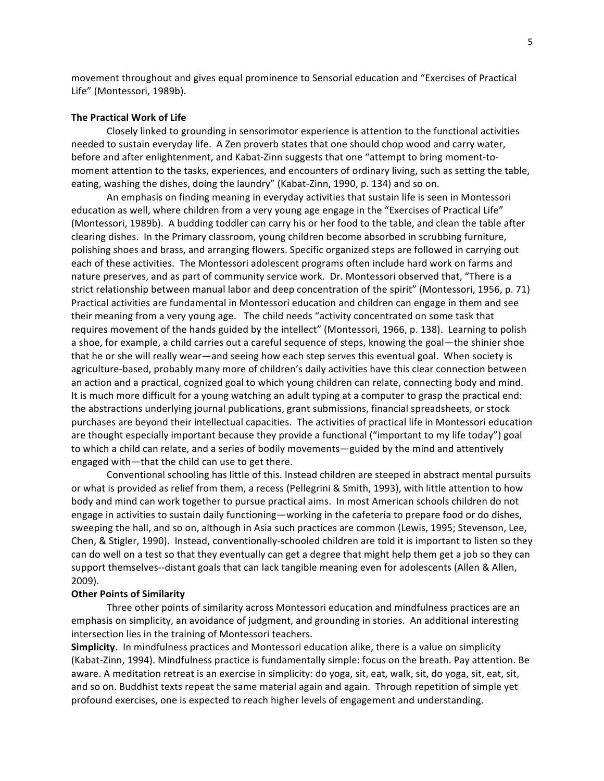movement throughout and gives equal prominence to Sensorial education and "Exercises of Practical Life" (Montessori, 1989b).

### **The Practical Work of Life**

Closely linked to grounding in sensorimotor experience is attention to the functional activities needed to sustain everyday life. A Zen proverb states that one should chop wood and carry water, before and after enlightenment, and Kabat-Zinn suggests that one "attempt to bring moment-tomoment attention to the tasks, experiences, and encounters of ordinary living, such as setting the table, eating, washing the dishes, doing the laundry" (Kabat-Zinn, 1990, p. 134) and so on.

An emphasis on finding meaning in everyday activities that sustain life is seen in Montessori education as well, where children from a very young age engage in the "Exercises of Practical Life" (Montessori, 1989b). A budding toddler can carry his or her food to the table, and clean the table after clearing dishes. In the Primary classroom, young children become absorbed in scrubbing furniture, polishing shoes and brass, and arranging flowers. Specific organized steps are followed in carrying out each of these activities. The Montessori adolescent programs often include hard work on farms and nature preserves, and as part of community service work. Dr. Montessori observed that, "There is a strict relationship between manual labor and deep concentration of the spirit" (Montessori, 1956, p. 71) Practical activities are fundamental in Montessori education and children can engage in them and see their meaning from a very young age. The child needs "activity concentrated on some task that requires movement of the hands guided by the intellect" (Montessori, 1966, p. 138). Learning to polish a shoe, for example, a child carries out a careful sequence of steps, knowing the goal—the shinier shoe that he or she will really wear—and seeing how each step serves this eventual goal. When society is agriculture-based, probably many more of children's daily activities have this clear connection between an action and a practical, cognized goal to which young children can relate, connecting body and mind. It is much more difficult for a young watching an adult typing at a computer to grasp the practical end: the abstractions underlying journal publications, grant submissions, financial spreadsheets, or stock purchases are beyond their intellectual capacities. The activities of practical life in Montessori education are thought especially important because they provide a functional ("important to my life today") goal to which a child can relate, and a series of bodily movements—guided by the mind and attentively engaged with—that the child can use to get there.

Conventional schooling has little of this. Instead children are steeped in abstract mental pursuits or what is provided as relief from them, a recess (Pellegrini & Smith, 1993), with little attention to how body and mind can work together to pursue practical aims. In most American schools children do not engage in activities to sustain daily functioning—working in the cafeteria to prepare food or do dishes, sweeping the hall, and so on, although in Asia such practices are common (Lewis, 1995; Stevenson, Lee, Chen, & Stigler, 1990). Instead, conventionally-schooled children are told it is important to listen so they can do well on a test so that they eventually can get a degree that might help them get a job so they can support themselves--distant goals that can lack tangible meaning even for adolescents (Allen & Allen, 2009).

#### **Other Points of Similarity**

Three other points of similarity across Montessori education and mindfulness practices are an emphasis on simplicity, an avoidance of judgment, and grounding in stories. An additional interesting intersection lies in the training of Montessori teachers.

**Simplicity.** In mindfulness practices and Montessori education alike, there is a value on simplicity (Kabat-Zinn, 1994). Mindfulness practice is fundamentally simple: focus on the breath. Pay attention. Be aware. A meditation retreat is an exercise in simplicity: do yoga, sit, eat, walk, sit, do yoga, sit, eat, sit, and so on. Buddhist texts repeat the same material again and again. Through repetition of simple yet profound exercises, one is expected to reach higher levels of engagement and understanding.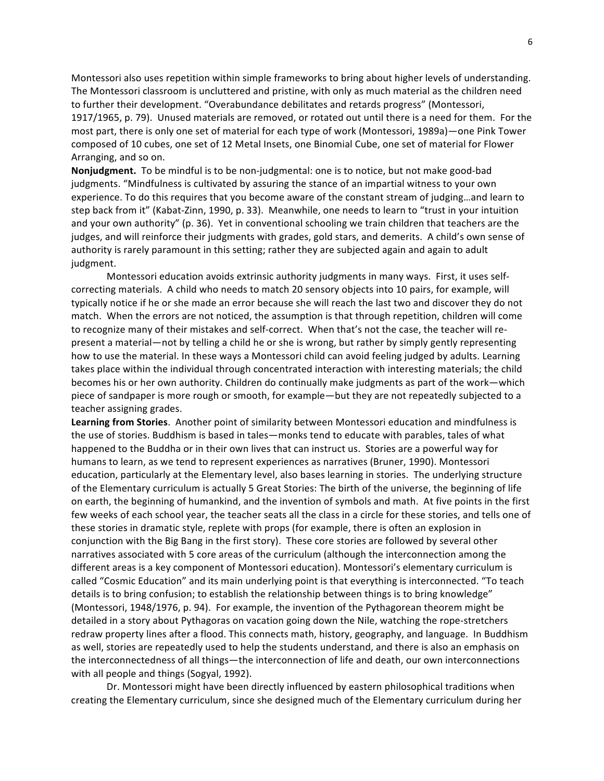Montessori also uses repetition within simple frameworks to bring about higher levels of understanding. The Montessori classroom is uncluttered and pristine, with only as much material as the children need to further their development. "Overabundance debilitates and retards progress" (Montessori, 1917/1965, p. 79). Unused materials are removed, or rotated out until there is a need for them. For the most part, there is only one set of material for each type of work (Montessori, 1989a)—one Pink Tower composed of 10 cubes, one set of 12 Metal Insets, one Binomial Cube, one set of material for Flower Arranging, and so on.

**Nonjudgment.** To be mindful is to be non-judgmental: one is to notice, but not make good-bad judgments. "Mindfulness is cultivated by assuring the stance of an impartial witness to your own experience. To do this requires that you become aware of the constant stream of judging…and learn to step back from it" (Kabat-Zinn, 1990, p. 33). Meanwhile, one needs to learn to "trust in your intuition and your own authority" (p. 36). Yet in conventional schooling we train children that teachers are the judges, and will reinforce their judgments with grades, gold stars, and demerits. A child's own sense of authority is rarely paramount in this setting; rather they are subjected again and again to adult judgment.

Montessori education avoids extrinsic authority judgments in many ways. First, it uses selfcorrecting materials. A child who needs to match 20 sensory objects into 10 pairs, for example, will typically notice if he or she made an error because she will reach the last two and discover they do not match. When the errors are not noticed, the assumption is that through repetition, children will come to recognize many of their mistakes and self-correct. When that's not the case, the teacher will represent a material—not by telling a child he or she is wrong, but rather by simply gently representing how to use the material. In these ways a Montessori child can avoid feeling judged by adults. Learning takes place within the individual through concentrated interaction with interesting materials; the child becomes his or her own authority. Children do continually make judgments as part of the work—which piece of sandpaper is more rough or smooth, for example—but they are not repeatedly subjected to a teacher assigning grades.

Learning from Stories. Another point of similarity between Montessori education and mindfulness is the use of stories. Buddhism is based in tales—monks tend to educate with parables, tales of what happened to the Buddha or in their own lives that can instruct us. Stories are a powerful way for humans to learn, as we tend to represent experiences as narratives (Bruner, 1990). Montessori education, particularly at the Elementary level, also bases learning in stories. The underlying structure of the Elementary curriculum is actually 5 Great Stories: The birth of the universe, the beginning of life on earth, the beginning of humankind, and the invention of symbols and math. At five points in the first few weeks of each school year, the teacher seats all the class in a circle for these stories, and tells one of these stories in dramatic style, replete with props (for example, there is often an explosion in conjunction with the Big Bang in the first story). These core stories are followed by several other narratives associated with 5 core areas of the curriculum (although the interconnection among the different areas is a key component of Montessori education). Montessori's elementary curriculum is called "Cosmic Education" and its main underlying point is that everything is interconnected. "To teach details is to bring confusion; to establish the relationship between things is to bring knowledge" (Montessori, 1948/1976, p. 94). For example, the invention of the Pythagorean theorem might be detailed in a story about Pythagoras on vacation going down the Nile, watching the rope-stretchers redraw property lines after a flood. This connects math, history, geography, and language. In Buddhism as well, stories are repeatedly used to help the students understand, and there is also an emphasis on the interconnectedness of all things—the interconnection of life and death, our own interconnections with all people and things (Sogyal, 1992).

Dr. Montessori might have been directly influenced by eastern philosophical traditions when creating the Elementary curriculum, since she designed much of the Elementary curriculum during her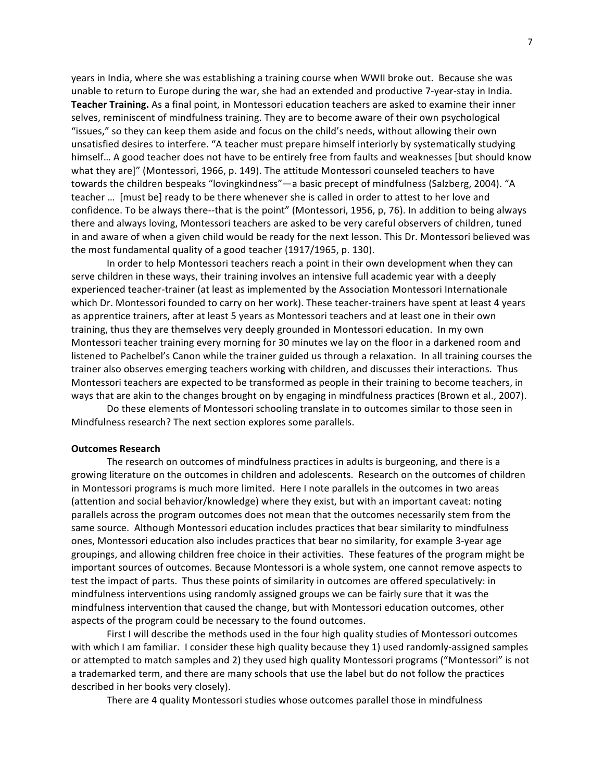years in India, where she was establishing a training course when WWII broke out. Because she was unable to return to Europe during the war, she had an extended and productive 7-year-stay in India. Teacher Training. As a final point, in Montessori education teachers are asked to examine their inner selves, reminiscent of mindfulness training. They are to become aware of their own psychological "issues," so they can keep them aside and focus on the child's needs, without allowing their own unsatisfied desires to interfere. "A teacher must prepare himself interiorly by systematically studying himself... A good teacher does not have to be entirely free from faults and weaknesses [but should know what they are]" (Montessori, 1966, p. 149). The attitude Montessori counseled teachers to have towards the children bespeaks "lovingkindness"—a basic precept of mindfulness (Salzberg, 2004). "A teacher … [must be] ready to be there whenever she is called in order to attest to her love and confidence. To be always there--that is the point" (Montessori, 1956, p, 76). In addition to being always there and always loving, Montessori teachers are asked to be very careful observers of children, tuned in and aware of when a given child would be ready for the next lesson. This Dr. Montessori believed was the most fundamental quality of a good teacher (1917/1965, p. 130).

In order to help Montessori teachers reach a point in their own development when they can serve children in these ways, their training involves an intensive full academic year with a deeply experienced teacher-trainer (at least as implemented by the Association Montessori Internationale which Dr. Montessori founded to carry on her work). These teacher-trainers have spent at least 4 years as apprentice trainers, after at least 5 years as Montessori teachers and at least one in their own training, thus they are themselves very deeply grounded in Montessori education. In my own Montessori teacher training every morning for 30 minutes we lay on the floor in a darkened room and listened to Pachelbel's Canon while the trainer guided us through a relaxation. In all training courses the trainer also observes emerging teachers working with children, and discusses their interactions. Thus Montessori teachers are expected to be transformed as people in their training to become teachers, in ways that are akin to the changes brought on by engaging in mindfulness practices (Brown et al., 2007).

Do these elements of Montessori schooling translate in to outcomes similar to those seen in Mindfulness research? The next section explores some parallels.

### **Outcomes Research**

The research on outcomes of mindfulness practices in adults is burgeoning, and there is a growing literature on the outcomes in children and adolescents. Research on the outcomes of children in Montessori programs is much more limited. Here I note parallels in the outcomes in two areas (attention and social behavior/knowledge) where they exist, but with an important caveat: noting parallels across the program outcomes does not mean that the outcomes necessarily stem from the same source. Although Montessori education includes practices that bear similarity to mindfulness ones, Montessori education also includes practices that bear no similarity, for example 3-year age groupings, and allowing children free choice in their activities. These features of the program might be important sources of outcomes. Because Montessori is a whole system, one cannot remove aspects to test the impact of parts. Thus these points of similarity in outcomes are offered speculatively: in mindfulness interventions using randomly assigned groups we can be fairly sure that it was the mindfulness intervention that caused the change, but with Montessori education outcomes, other aspects of the program could be necessary to the found outcomes.

First I will describe the methods used in the four high quality studies of Montessori outcomes with which I am familiar. I consider these high quality because they 1) used randomly-assigned samples or attempted to match samples and 2) they used high quality Montessori programs ("Montessori" is not a trademarked term, and there are many schools that use the label but do not follow the practices described in her books very closely).

There are 4 quality Montessori studies whose outcomes parallel those in mindfulness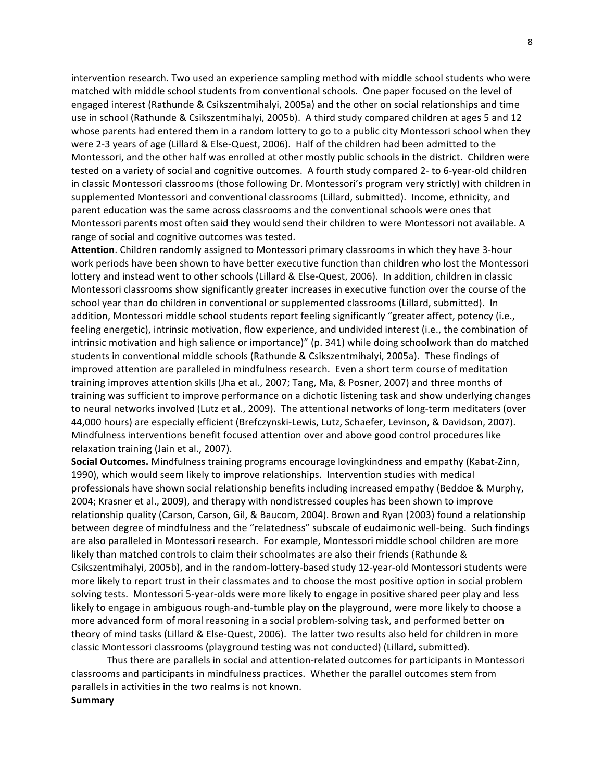intervention research. Two used an experience sampling method with middle school students who were matched with middle school students from conventional schools. One paper focused on the level of engaged interest (Rathunde & Csikszentmihalyi, 2005a) and the other on social relationships and time use in school (Rathunde & Csikszentmihalyi, 2005b). A third study compared children at ages 5 and 12 whose parents had entered them in a random lottery to go to a public city Montessori school when they were 2-3 years of age (Lillard & Else-Quest, 2006). Half of the children had been admitted to the Montessori, and the other half was enrolled at other mostly public schools in the district. Children were tested on a variety of social and cognitive outcomes. A fourth study compared 2- to 6-year-old children in classic Montessori classrooms (those following Dr. Montessori's program very strictly) with children in supplemented Montessori and conventional classrooms (Lillard, submitted). Income, ethnicity, and parent education was the same across classrooms and the conventional schools were ones that Montessori parents most often said they would send their children to were Montessori not available. A range of social and cognitive outcomes was tested.

Attention. Children randomly assigned to Montessori primary classrooms in which they have 3-hour work periods have been shown to have better executive function than children who lost the Montessori lottery and instead went to other schools (Lillard & Else-Quest, 2006). In addition, children in classic Montessori classrooms show significantly greater increases in executive function over the course of the school year than do children in conventional or supplemented classrooms (Lillard, submitted). In addition, Montessori middle school students report feeling significantly "greater affect, potency (i.e., feeling energetic), intrinsic motivation, flow experience, and undivided interest (i.e., the combination of intrinsic motivation and high salience or importance)" (p. 341) while doing schoolwork than do matched students in conventional middle schools (Rathunde & Csikszentmihalyi, 2005a). These findings of improved attention are paralleled in mindfulness research. Even a short term course of meditation training improves attention skills (Jha et al., 2007; Tang, Ma, & Posner, 2007) and three months of training was sufficient to improve performance on a dichotic listening task and show underlying changes to neural networks involved (Lutz et al., 2009). The attentional networks of long-term meditaters (over 44,000 hours) are especially efficient (Brefczynski-Lewis, Lutz, Schaefer, Levinson, & Davidson, 2007). Mindfulness interventions benefit focused attention over and above good control procedures like relaxation training (Jain et al., 2007).

**Social Outcomes.** Mindfulness training programs encourage lovingkindness and empathy (Kabat-Zinn, 1990), which would seem likely to improve relationships. Intervention studies with medical professionals have shown social relationship benefits including increased empathy (Beddoe & Murphy, 2004; Krasner et al., 2009), and therapy with nondistressed couples has been shown to improve relationship quality (Carson, Carson, Gil, & Baucom, 2004). Brown and Ryan (2003) found a relationship between degree of mindfulness and the "relatedness" subscale of eudaimonic well-being. Such findings are also paralleled in Montessori research. For example, Montessori middle school children are more likely than matched controls to claim their schoolmates are also their friends (Rathunde & Csikszentmihalyi, 2005b), and in the random-lottery-based study 12-year-old Montessori students were more likely to report trust in their classmates and to choose the most positive option in social problem solving tests. Montessori 5-year-olds were more likely to engage in positive shared peer play and less likely to engage in ambiguous rough-and-tumble play on the playground, were more likely to choose a more advanced form of moral reasoning in a social problem-solving task, and performed better on theory of mind tasks (Lillard & Else-Quest, 2006). The latter two results also held for children in more classic Montessori classrooms (playground testing was not conducted) (Lillard, submitted).

Thus there are parallels in social and attention-related outcomes for participants in Montessori classrooms and participants in mindfulness practices. Whether the parallel outcomes stem from parallels in activities in the two realms is not known.

# **Summary**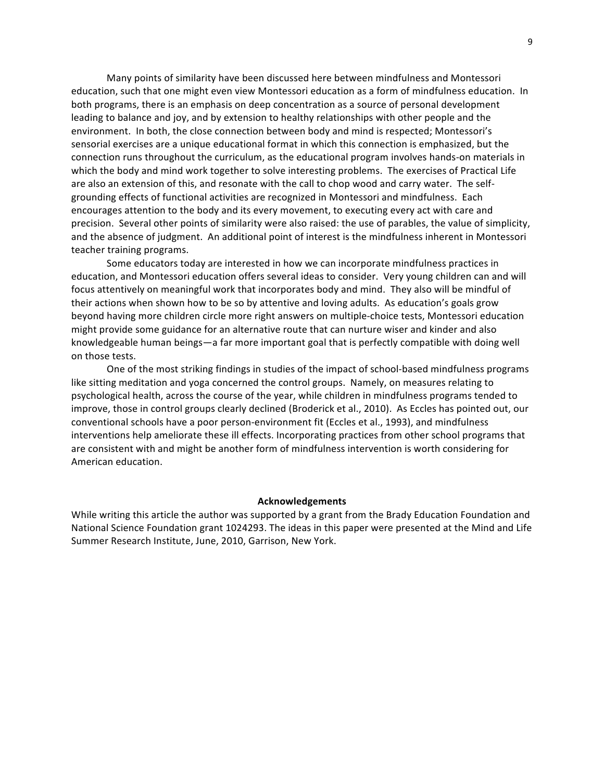Many points of similarity have been discussed here between mindfulness and Montessori education, such that one might even view Montessori education as a form of mindfulness education. In both programs, there is an emphasis on deep concentration as a source of personal development leading to balance and joy, and by extension to healthy relationships with other people and the environment. In both, the close connection between body and mind is respected; Montessori's sensorial exercises are a unique educational format in which this connection is emphasized, but the connection runs throughout the curriculum, as the educational program involves hands-on materials in which the body and mind work together to solve interesting problems. The exercises of Practical Life are also an extension of this, and resonate with the call to chop wood and carry water. The selfgrounding effects of functional activities are recognized in Montessori and mindfulness. Each encourages attention to the body and its every movement, to executing every act with care and precision. Several other points of similarity were also raised: the use of parables, the value of simplicity, and the absence of judgment. An additional point of interest is the mindfulness inherent in Montessori teacher training programs.

Some educators today are interested in how we can incorporate mindfulness practices in education, and Montessori education offers several ideas to consider. Very young children can and will focus attentively on meaningful work that incorporates body and mind. They also will be mindful of their actions when shown how to be so by attentive and loving adults. As education's goals grow beyond having more children circle more right answers on multiple-choice tests, Montessori education might provide some guidance for an alternative route that can nurture wiser and kinder and also knowledgeable human beings—a far more important goal that is perfectly compatible with doing well on those tests.

One of the most striking findings in studies of the impact of school-based mindfulness programs like sitting meditation and yoga concerned the control groups. Namely, on measures relating to psychological health, across the course of the year, while children in mindfulness programs tended to improve, those in control groups clearly declined (Broderick et al., 2010). As Eccles has pointed out, our conventional schools have a poor person-environment fit (Eccles et al., 1993), and mindfulness interventions help ameliorate these ill effects. Incorporating practices from other school programs that are consistent with and might be another form of mindfulness intervention is worth considering for American education.

### **Acknowledgements**

While writing this article the author was supported by a grant from the Brady Education Foundation and National Science Foundation grant 1024293. The ideas in this paper were presented at the Mind and Life Summer Research Institute, June, 2010, Garrison, New York.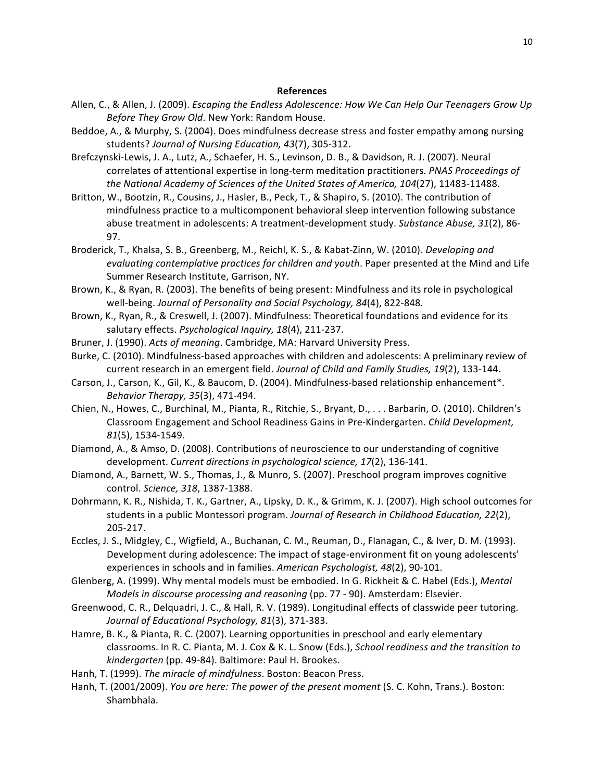# **References**

- Allen, C., & Allen, J. (2009). *Escaping the Endless Adolescence: How We Can Help Our Teenagers Grow Up Before They Grow Old. New York: Random House.*
- Beddoe, A., & Murphy, S. (2004). Does mindfulness decrease stress and foster empathy among nursing students? Journal of Nursing Education, 43(7), 305-312.
- Brefczynski-Lewis, J. A., Lutz, A., Schaefer, H. S., Levinson, D. B., & Davidson, R. J. (2007). Neural correlates of attentional expertise in long-term meditation practitioners. *PNAS Proceedings of* the National Academy of Sciences of the United States of America, 104(27), 11483-11488.
- Britton, W., Bootzin, R., Cousins, J., Hasler, B., Peck, T., & Shapiro, S. (2010). The contribution of mindfulness practice to a multicomponent behavioral sleep intervention following substance abuse treatment in adolescents: A treatment-development study. *Substance Abuse, 31*(2), 86-97.#
- Broderick, T., Khalsa, S. B., Greenberg, M., Reichl, K. S., & Kabat-Zinn, W. (2010). *Developing and* evaluating contemplative practices for children and youth. Paper presented at the Mind and Life Summer Research Institute, Garrison, NY.
- Brown, K., & Ryan, R. (2003). The benefits of being present: Mindfulness and its role in psychological well-being. Journal of Personality and Social Psychology, 84(4), 822-848.
- Brown, K., Ryan, R., & Creswell, J. (2007). Mindfulness: Theoretical foundations and evidence for its salutary effects. *Psychological Inquiry, 18*(4), 211-237.
- Bruner, J. (1990). *Acts of meaning*. Cambridge, MA: Harvard University Press.
- Burke, C. (2010). Mindfulness-based approaches with children and adolescents: A preliminary review of current research in an emergent field. *Journal of Child and Family Studies, 19*(2), 133-144.
- Carson, J., Carson, K., Gil, K., & Baucom, D. (2004). Mindfulness-based relationship enhancement\*. *Behavior Therapy, 35*(3), 471-494.
- Chien, N., Howes, C., Burchinal, M., Pianta, R., Ritchie, S., Bryant, D., . . . Barbarin, O. (2010). Children's Classroom Engagement and School Readiness Gains in Pre-Kindergarten. *Child Development,* 81(5), 1534-1549.
- Diamond, A., & Amso, D. (2008). Contributions of neuroscience to our understanding of cognitive development. *Current directions in psychological science, 17*(2), 136-141.
- Diamond, A., Barnett, W. S., Thomas, J., & Munro, S. (2007). Preschool program improves cognitive control. *Science, 318*, 1387-1388.
- Dohrmann, K. R., Nishida, T. K., Gartner, A., Lipsky, D. K., & Grimm, K. J. (2007). High school outcomes for students in a public Montessori program. *Journal of Research in Childhood Education, 22*(2), 205-217.
- Eccles, J. S., Midgley, C., Wigfield, A., Buchanan, C. M., Reuman, D., Flanagan, C., & Iver, D. M. (1993). Development during adolescence: The impact of stage-environment fit on young adolescents' experiences in schools and in families. American Psychologist, 48(2), 90-101.
- Glenberg, A. (1999). Why mental models must be embodied. In G. Rickheit & C. Habel (Eds.), *Mental Models in discourse processing and reasoning* (pp. 77 - 90). Amsterdam: Elsevier.
- Greenwood, C. R., Delquadri, J. C., & Hall, R. V. (1989). Longitudinal effects of classwide peer tutoring. Journal of Educational Psychology, 81(3), 371-383.
- Hamre, B. K., & Pianta, R. C. (2007). Learning opportunities in preschool and early elementary classrooms. In R. C. Pianta, M. J. Cox & K. L. Snow (Eds.), *School readiness and the transition to kindergarten* (pp. 49-84). Baltimore: Paul H. Brookes.
- Hanh, T. (1999). *The miracle of mindfulness*. Boston: Beacon Press.
- Hanh, T. (2001/2009). *You are here: The power of the present moment* (S. C. Kohn, Trans.). Boston: Shambhala.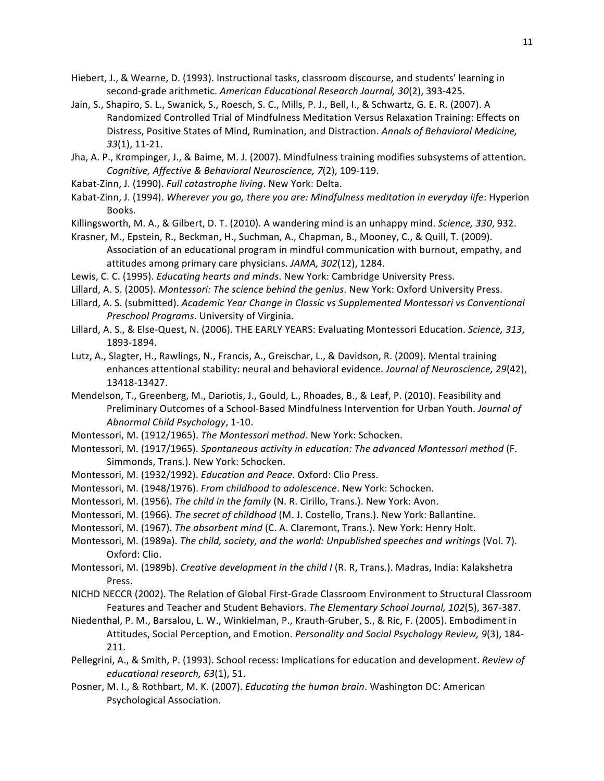- Hiebert, J., & Wearne, D. (1993). Instructional tasks, classroom discourse, and students' learning in second-grade arithmetic. American Educational Research Journal, 30(2), 393-425.
- Jain, S., Shapiro, S. L., Swanick, S., Roesch, S. C., Mills, P. J., Bell, I., & Schwartz, G. E. R. (2007). A Randomized Controlled Trial of Mindfulness Meditation Versus Relaxation Training: Effects on Distress, Positive States of Mind, Rumination, and Distraction. Annals of Behavioral Medicine, *33*(1), 11-21.
- Jha, A. P., Krompinger, J., & Baime, M. J. (2007). Mindfulness training modifies subsystems of attention. Cognitive, Affective & Behavioral Neuroscience, 7(2), 109-119.
- Kabat-Zinn, J. (1990). *Full catastrophe living*. New York: Delta.
- Kabat-Zinn, J. (1994). *Wherever you go, there you are: Mindfulness meditation in everyday life*: Hyperion Books.
- Killingsworth, M. A., & Gilbert, D. T. (2010). A wandering mind is an unhappy mind. *Science, 330*, 932.
- Krasner, M., Epstein, R., Beckman, H., Suchman, A., Chapman, B., Mooney, C., & Quill, T. (2009). Association of an educational program in mindful communication with burnout, empathy, and attitudes among primary care physicians. *JAMA, 302*(12), 1284.
- Lewis, C. C. (1995). *Educating hearts and minds*. New York: Cambridge University Press.
- Lillard, A. S. (2005). *Montessori: The science behind the genius*. New York: Oxford University Press.
- Lillard, A. S. (submitted). *Academic Year Change in Classic vs Supplemented Montessori vs Conventional Preschool Programs*. University of Virginia.
- Lillard, A. S., & Else-Quest, N. (2006). THE EARLY YEARS: Evaluating Montessori Education. *Science, 313*, 1893-1894.
- Lutz, A., Slagter, H., Rawlings, N., Francis, A., Greischar, L., & Davidson, R. (2009). Mental training enhances attentional stability: neural and behavioral evidence. *Journal of Neuroscience*, 29(42), 13418-13427.
- Mendelson, T., Greenberg, M., Dariotis, J., Gould, L., Rhoades, B., & Leaf, P. (2010). Feasibility and Preliminary Outcomes of a School-Based Mindfulness Intervention for Urban Youth. *Journal of* Abnormal Child Psychology, 1-10.
- Montessori, M. (1912/1965). The Montessori method. New York: Schocken.
- Montessori, M. (1917/1965). *Spontaneous activity in education: The advanced Montessori method* (F. Simmonds, Trans.). New York: Schocken.
- Montessori, M. (1932/1992). *Education and Peace*. Oxford: Clio Press.
- Montessori, M. (1948/1976). *From childhood to adolescence*. New York: Schocken.
- Montessori, M. (1956). *The child in the family* (N. R. Cirillo, Trans.). New York: Avon.
- Montessori, M. (1966). *The secret of childhood* (M. J. Costello, Trans.). New York: Ballantine.
- Montessori, M. (1967). *The absorbent mind* (C. A. Claremont, Trans.). New York: Henry Holt.
- Montessori, M. (1989a). *The child, society, and the world: Unpublished speeches and writings* (Vol. 7). Oxford: Clio.
- Montessori, M. (1989b). *Creative development in the child I* (R. R, Trans.). Madras, India: Kalakshetra Press.
- NICHD NECCR (2002). The Relation of Global First-Grade Classroom Environment to Structural Classroom Features and Teacher and Student Behaviors. The Elementary School Journal, 102(5), 367-387.
- Niedenthal, P. M., Barsalou, L. W., Winkielman, P., Krauth-Gruber, S., & Ric, F. (2005). Embodiment in Attitudes, Social Perception, and Emotion. *Personality and Social Psychology Review, 9*(3), 184-211.#
- Pellegrini, A., & Smith, P. (1993). School recess: Implications for education and development. *Review of educational research, 63(1), 51.*
- Posner, M. I., & Rothbart, M. K. (2007). *Educating the human brain*. Washington DC: American Psychological Association.